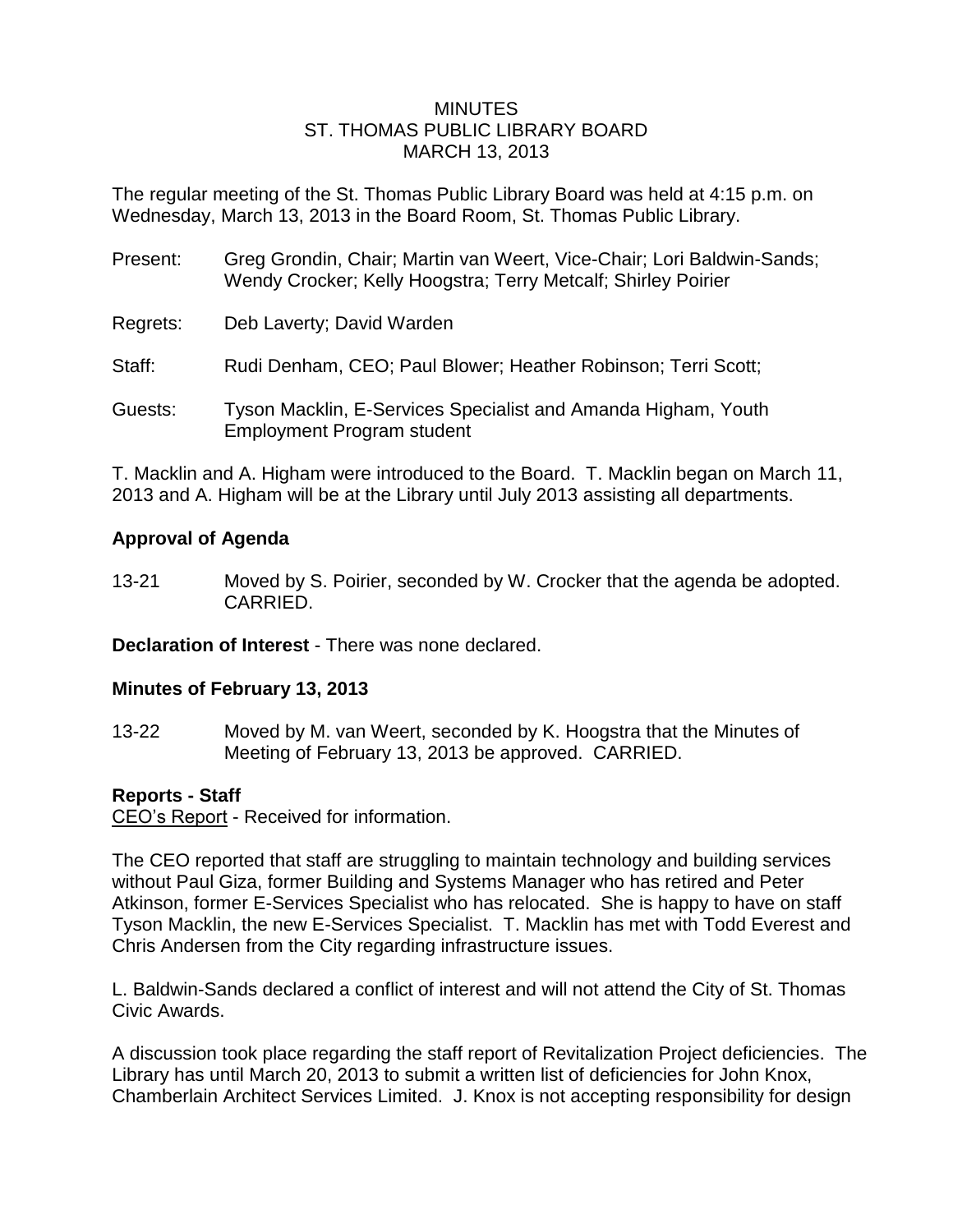#### MINUTES ST. THOMAS PUBLIC LIBRARY BOARD MARCH 13, 2013

The regular meeting of the St. Thomas Public Library Board was held at 4:15 p.m. on Wednesday, March 13, 2013 in the Board Room, St. Thomas Public Library.

| Present: | Greg Grondin, Chair; Martin van Weert, Vice-Chair; Lori Baldwin-Sands;<br>Wendy Crocker; Kelly Hoogstra; Terry Metcalf; Shirley Poirier |
|----------|-----------------------------------------------------------------------------------------------------------------------------------------|
| Regrets: | Deb Laverty; David Warden                                                                                                               |
| Staff:   | Rudi Denham, CEO; Paul Blower; Heather Robinson; Terri Scott;                                                                           |
| Guests:  | Tyson Macklin, E-Services Specialist and Amanda Higham, Youth<br><b>Employment Program student</b>                                      |

T. Macklin and A. Higham were introduced to the Board. T. Macklin began on March 11, 2013 and A. Higham will be at the Library until July 2013 assisting all departments.

## **Approval of Agenda**

13-21 Moved by S. Poirier, seconded by W. Crocker that the agenda be adopted. CARRIED.

**Declaration of Interest** - There was none declared.

#### **Minutes of February 13, 2013**

13-22 Moved by M. van Weert, seconded by K. Hoogstra that the Minutes of Meeting of February 13, 2013 be approved. CARRIED.

#### **Reports - Staff**

CEO's Report - Received for information.

The CEO reported that staff are struggling to maintain technology and building services without Paul Giza, former Building and Systems Manager who has retired and Peter Atkinson, former E-Services Specialist who has relocated. She is happy to have on staff Tyson Macklin, the new E-Services Specialist. T. Macklin has met with Todd Everest and Chris Andersen from the City regarding infrastructure issues.

L. Baldwin-Sands declared a conflict of interest and will not attend the City of St. Thomas Civic Awards.

A discussion took place regarding the staff report of Revitalization Project deficiencies. The Library has until March 20, 2013 to submit a written list of deficiencies for John Knox, Chamberlain Architect Services Limited. J. Knox is not accepting responsibility for design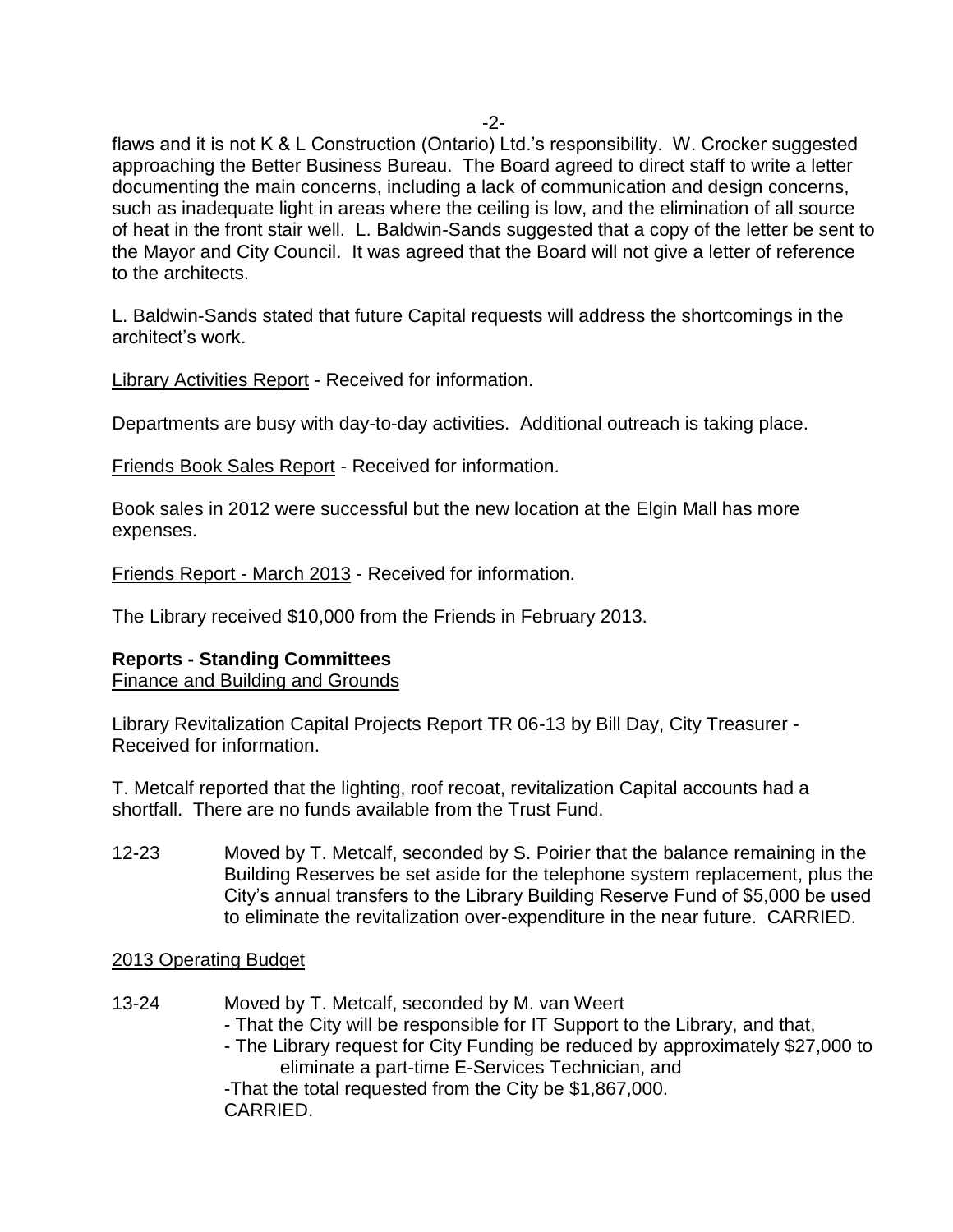-2-

flaws and it is not K & L Construction (Ontario) Ltd.'s responsibility. W. Crocker suggested approaching the Better Business Bureau. The Board agreed to direct staff to write a letter documenting the main concerns, including a lack of communication and design concerns, such as inadequate light in areas where the ceiling is low, and the elimination of all source of heat in the front stair well. L. Baldwin-Sands suggested that a copy of the letter be sent to the Mayor and City Council. It was agreed that the Board will not give a letter of reference to the architects.

L. Baldwin-Sands stated that future Capital requests will address the shortcomings in the architect's work.

Library Activities Report - Received for information.

Departments are busy with day-to-day activities. Additional outreach is taking place.

Friends Book Sales Report - Received for information.

Book sales in 2012 were successful but the new location at the Elgin Mall has more expenses.

Friends Report - March 2013 - Received for information.

The Library received \$10,000 from the Friends in February 2013.

# **Reports - Standing Committees**

Finance and Building and Grounds

Library Revitalization Capital Projects Report TR 06-13 by Bill Day, City Treasurer - Received for information.

T. Metcalf reported that the lighting, roof recoat, revitalization Capital accounts had a shortfall. There are no funds available from the Trust Fund.

12-23 Moved by T. Metcalf, seconded by S. Poirier that the balance remaining in the Building Reserves be set aside for the telephone system replacement, plus the City's annual transfers to the Library Building Reserve Fund of \$5,000 be used to eliminate the revitalization over-expenditure in the near future. CARRIED.

# 2013 Operating Budget

13-24 Moved by T. Metcalf, seconded by M. van Weert - That the City will be responsible for IT Support to the Library, and that, - The Library request for City Funding be reduced by approximately \$27,000 to eliminate a part-time E-Services Technician, and -That the total requested from the City be \$1,867,000. CARRIED.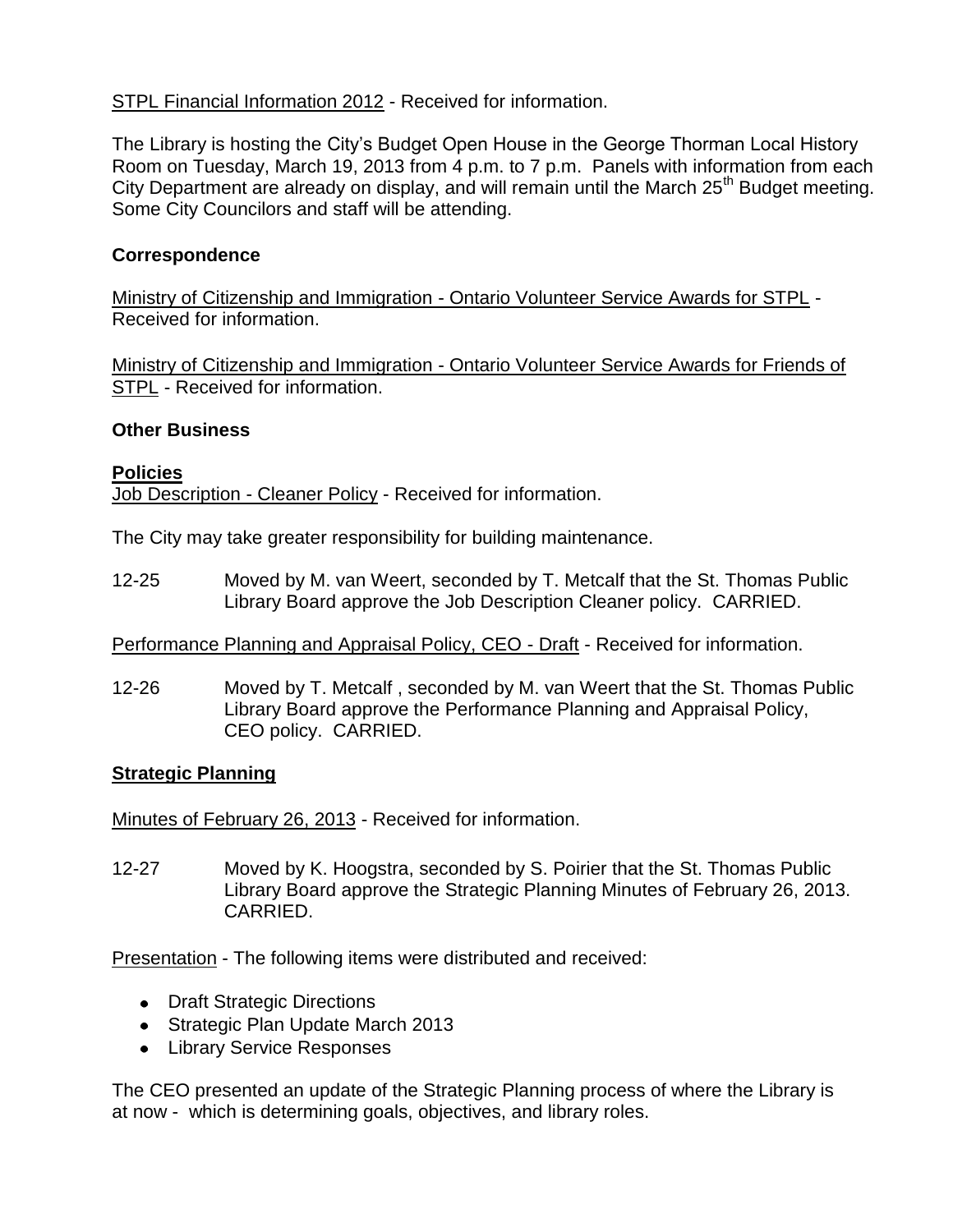# STPL Financial Information 2012 - Received for information.

The Library is hosting the City's Budget Open House in the George Thorman Local History Room on Tuesday, March 19, 2013 from 4 p.m. to 7 p.m. Panels with information from each City Department are already on display, and will remain until the March 25<sup>th</sup> Budget meeting. Some City Councilors and staff will be attending.

### **Correspondence**

Ministry of Citizenship and Immigration - Ontario Volunteer Service Awards for STPL -Received for information.

Ministry of Citizenship and Immigration - Ontario Volunteer Service Awards for Friends of STPL - Received for information.

#### **Other Business**

#### **Policies** Job Description - Cleaner Policy - Received for information.

The City may take greater responsibility for building maintenance.

12-25 Moved by M. van Weert, seconded by T. Metcalf that the St. Thomas Public Library Board approve the Job Description Cleaner policy. CARRIED.

Performance Planning and Appraisal Policy, CEO - Draft - Received for information.

12-26 Moved by T. Metcalf , seconded by M. van Weert that the St. Thomas Public Library Board approve the Performance Planning and Appraisal Policy, CEO policy. CARRIED.

#### **Strategic Planning**

Minutes of February 26, 2013 - Received for information.

12-27 Moved by K. Hoogstra, seconded by S. Poirier that the St. Thomas Public Library Board approve the Strategic Planning Minutes of February 26, 2013. CARRIED.

Presentation - The following items were distributed and received:

- Draft Strategic Directions
- Strategic Plan Update March 2013
- **•** Library Service Responses

The CEO presented an update of the Strategic Planning process of where the Library is at now - which is determining goals, objectives, and library roles.